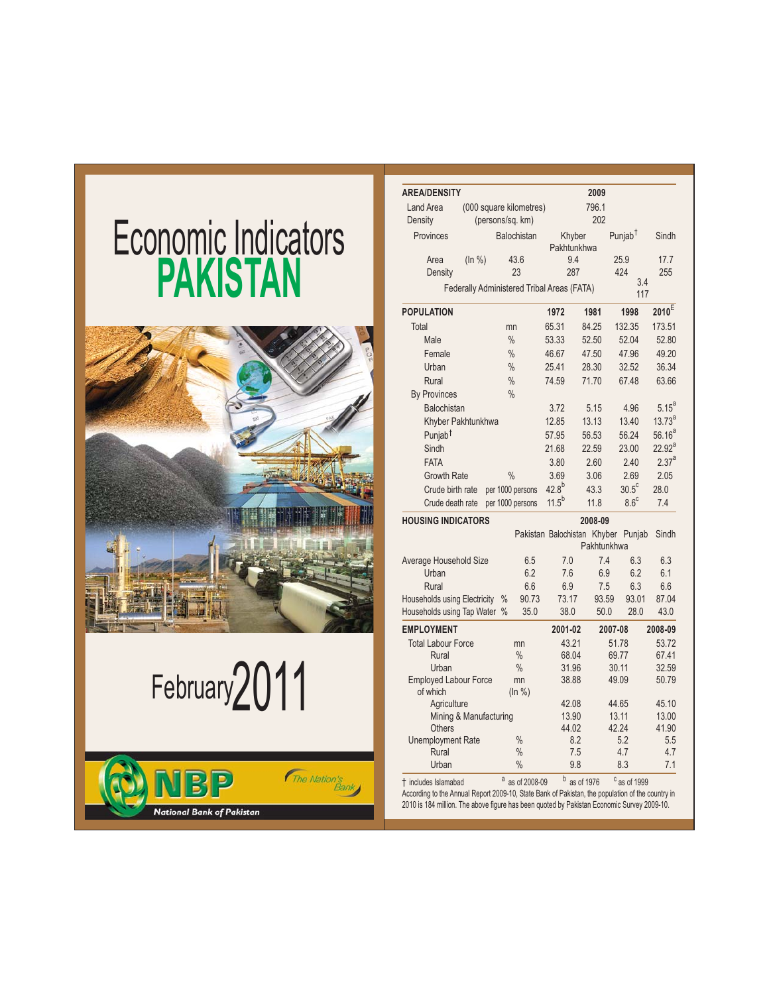# Economic Indicators **PAKISTAN**



February2011



| <b>AREA/DENSITY</b>                       |                                            |               |                    |                             | 2009           |                         |                   |
|-------------------------------------------|--------------------------------------------|---------------|--------------------|-----------------------------|----------------|-------------------------|-------------------|
| Land Area                                 | (000 square kilometres)                    |               |                    | 796.1                       |                |                         |                   |
| Density                                   |                                            |               | (persons/sq. km)   |                             | 202            |                         |                   |
| Provinces                                 |                                            |               | <b>Balochistan</b> | Khyber<br>Pakhtunkhwa       |                | Punjab <sup>T</sup>     | Sindh             |
| Area                                      | (ln % )                                    |               | 43.6               | 9.4                         |                | 25.9                    | 17.7              |
| Density                                   |                                            |               | 23                 | 287                         |                | 424                     | 255               |
|                                           | Federally Administered Tribal Areas (FATA) |               |                    |                             |                | 3.4<br>117              |                   |
| <b>POPULATION</b>                         |                                            |               |                    | 1972                        | 1981           | 1998                    | $2010^E$          |
| Total                                     |                                            | mn            |                    | 65.31                       | 84.25          | 132.35                  | 173.51            |
| Male                                      |                                            | $\frac{0}{0}$ |                    | 53.33                       | 52.50          | 52.04                   | 52.80             |
| Female                                    |                                            | $\frac{0}{0}$ |                    | 46.67                       | 47.50          | 47.96                   | 49.20             |
| Urban                                     |                                            | $\frac{0}{0}$ |                    | 25.41                       | 28.30          | 32.52                   | 36.34             |
| Rural                                     |                                            | $\frac{0}{0}$ |                    | 74.59                       | 71.70          | 67.48                   | 63.66             |
| <b>By Provinces</b>                       |                                            | $\frac{0}{0}$ |                    |                             |                |                         |                   |
| Balochistan                               |                                            |               |                    | 3.72                        | 5.15           | 4.96                    | $5.15^{a}$        |
|                                           | Khyber Pakhtunkhwa                         |               |                    | 12.85                       | 13.13          | 13.40                   | $13.73^{a}$       |
| Punjab <sup>†</sup>                       |                                            |               |                    | 57.95                       | 56.53          | 56.24                   | $56.16^{a}$       |
| Sindh                                     |                                            |               |                    | 21.68                       | 22.59          | 23.00                   | $22.92^{a}$       |
| <b>FATA</b>                               |                                            |               |                    | 3.80                        | 2.60           | 2.40                    | 2.37 <sup>a</sup> |
| <b>Growth Rate</b>                        |                                            | $\frac{0}{0}$ |                    | 3.69                        | 3.06           | 2.69                    | 2.05              |
| Crude birth rate                          |                                            |               | per 1000 persons   | $42.8^{b}$                  | 43.3           | $30.5^{\circ}$          | 28.0              |
| Crude death rate                          |                                            |               | per 1000 persons   | $11.5^{b}$                  | 11.8           | $8.6^{\circ}$           | 7.4               |
| <b>HOUSING INDICATORS</b>                 |                                            |               |                    |                             | 2008-09        |                         |                   |
|                                           |                                            |               |                    | Pakistan Balochistan Khyber | Pakhtunkhwa    | Punjab                  | Sindh             |
| Average Household Size                    |                                            |               | 6.5                | 7.0                         | 7.4            | 6.3                     | 6.3               |
| Urban                                     |                                            |               | 6.2                | 7.6                         | 6.9            | 6.2                     | 6.1               |
| Rural                                     |                                            |               | 6.6                | 6.9                         | 7.5            | 6.3                     | 6.6               |
| Households using Electricity              |                                            | $\%$          | 90.73              | 73.17                       | 93.59          | 93.01                   | 87.04             |
| Households using Tap Water %              |                                            |               | 35.0               | 38.0                        | 50.0           | 28.0                    | 43.0              |
| <b>EMPLOYMENT</b>                         |                                            |               |                    | 2001-02                     |                | 2007-08                 | 2008-09           |
| <b>Total Labour Force</b>                 |                                            |               | mn                 | 43.21                       |                | 51.78                   | 53.72             |
| Rural                                     |                                            |               | $\%$               | 68.04                       |                | 69.77                   | 67.41             |
| Urban                                     |                                            |               | $\%$               | 31.96                       |                | 30.11                   | 32.59             |
| <b>Employed Labour Force</b><br>of which  |                                            |               | mn<br>(ln %)       | 38.88                       |                | 49.09                   | 50.79             |
| Agriculture                               |                                            |               |                    | 42.08                       |                | 44.65                   | 45.10             |
|                                           | Mining & Manufacturing                     |               |                    | 13.90                       |                | 13.11<br>42.24          | 13.00<br>41.90    |
| <b>Others</b><br><b>Unemployment Rate</b> |                                            |               | $\frac{0}{0}$      | 44.02                       | 8.2            | 5.2                     | 5.5               |
| Rural                                     |                                            |               | $\frac{0}{0}$      |                             | 7.5            | 4.7                     | 4.7               |
| Urban                                     |                                            |               | $\frac{0}{0}$      |                             | 9.8            | 8.3                     | 7.1               |
| t includes Islamabad                      |                                            |               | a as of 2008-09    |                             | $b$ as of 1976 | <sup>c</sup> as of 1999 |                   |

2010 is 184 million. The above figure has been quoted by Pakistan Economic Survey 2009-10.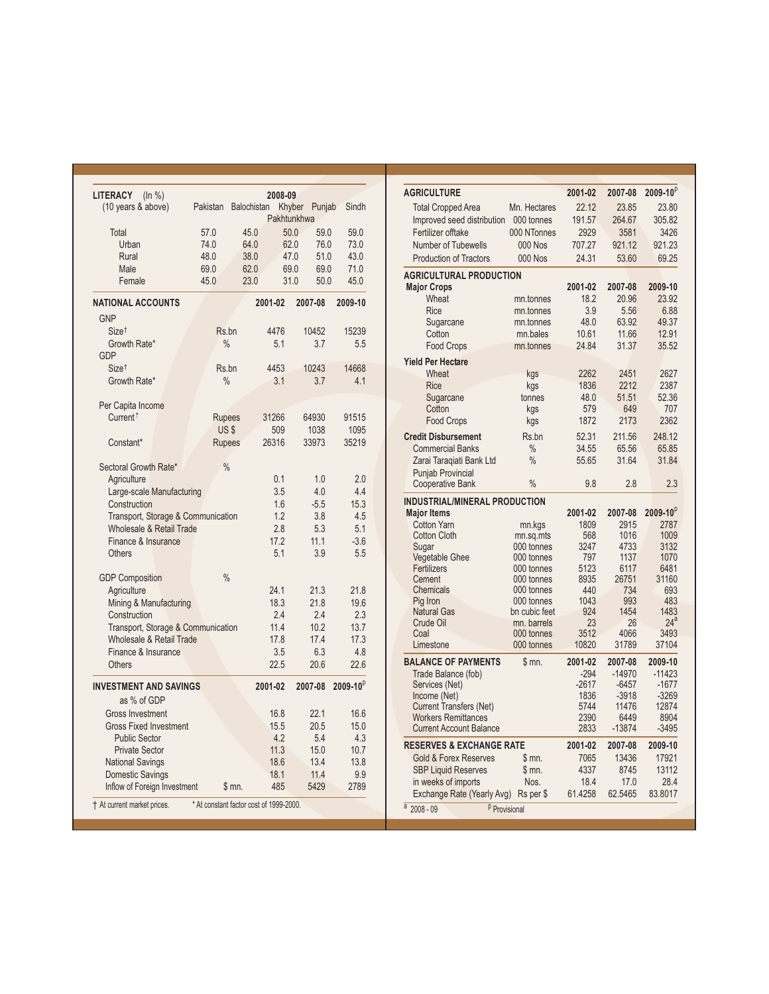| <b>LITERACY</b><br>(ln % )<br>(10 years & above) | Pakistan      | 2008-09<br><b>Balochistan</b>           | Khyber<br>Punjab | Sindh           |
|--------------------------------------------------|---------------|-----------------------------------------|------------------|-----------------|
|                                                  |               |                                         | Pakhtunkhwa      |                 |
| Total                                            | 57.0          | 45.0                                    | 50.0<br>59.0     | 59.0            |
| Urban                                            | 74.0          | 64.0                                    | 62.0<br>76.0     | 73.0            |
| Rural                                            | 48.0          | 38.0                                    | 47.0<br>51.0     | 43.0            |
| Male                                             | 69.0          | 62.0                                    | 69.0<br>69.0     | 71.0            |
| Female                                           | 45.0          | 23.0                                    | 31.0<br>50.0     | 45.0            |
| <b>NATIONAL ACCOUNTS</b>                         |               | 2001-02                                 | 2007-08          | 2009-10         |
| <b>GNP</b>                                       |               |                                         |                  |                 |
| Size <sup>†</sup>                                | Rs.bn         | 4476                                    | 10452            | 15239           |
| Growth Rate*                                     | $\frac{0}{0}$ | 5.1                                     | 3.7              | 5.5             |
| <b>GDP</b>                                       |               |                                         |                  |                 |
| Size <sup>+</sup>                                | Rs.bn         | 4453                                    | 10243            | 14668           |
| Growth Rate*                                     | $\frac{0}{0}$ | 3.1                                     | 3.7              | 4.1             |
| Per Capita Income                                |               |                                         |                  |                 |
| Current <sup><math>†</math></sup>                | <b>Rupees</b> | 31266                                   | 64930            | 91515           |
|                                                  | US\$          | 509                                     | 1038             | 1095            |
| Constant*                                        | <b>Rupees</b> | 26316                                   | 33973            | 35219           |
|                                                  |               |                                         |                  |                 |
| Sectoral Growth Rate*                            | $\frac{0}{0}$ |                                         |                  |                 |
| Agriculture                                      |               | 0.1                                     | 1.0              | 2.0             |
| Large-scale Manufacturing                        |               | 3.5                                     | 4.0              | 4.4             |
| Construction                                     |               | 1.6                                     | $-5.5$           | 15.3            |
| Transport, Storage & Communication               |               | 1.2                                     | 3.8              | 4.5             |
| Wholesale & Retail Trade                         |               | 2.8                                     | 5.3              | 5.1             |
| Finance & Insurance                              |               | 17.2                                    | 11.1             | $-3.6$          |
| Others                                           |               | 5.1                                     | 3.9              | 5.5             |
|                                                  |               |                                         |                  |                 |
| <b>GDP Composition</b>                           | $\frac{0}{0}$ |                                         |                  |                 |
| Agriculture                                      |               | 24.1                                    | 21.3             | 21.8            |
| Mining & Manufacturing                           |               | 18.3                                    | 21.8             | 19.6            |
| Construction                                     |               | 2.4                                     | 2.4              | 2.3             |
| Transport, Storage & Communication               |               | 11.4                                    | 10.2             | 13.7            |
| Wholesale & Retail Trade                         |               | 17.8                                    | 17.4             | 17.3            |
| Finance & Insurance                              |               | 3.5                                     | 6.3              | 4.8             |
| <b>Others</b>                                    |               | 22.5                                    | 20.6             | 22.6            |
| <b>INVESTMENT AND SAVINGS</b>                    |               | 2001-02                                 | 2007-08          | $2009 - 10^{p}$ |
| as % of GDP                                      |               |                                         |                  |                 |
| <b>Gross Investment</b>                          |               | 16.8                                    | 22.1             | 16.6            |
| <b>Gross Fixed Investment</b>                    |               | 15.5                                    | 20.5             | 15.0            |
| <b>Public Sector</b>                             |               | 4.2                                     | 5.4              | 4.3             |
| <b>Private Sector</b>                            |               | 11.3                                    | 15.0             | 10.7            |
| <b>National Savings</b>                          |               | 18.6                                    | 13.4             | 13.8            |
| Domestic Savings                                 |               | 18.1                                    | 11.4             | 9.9             |
| Inflow of Foreign Investment                     |               | \$m.<br>485                             | 5429             | 2789            |
| † At current market prices.                      |               | * At constant factor cost of 1999-2000. |                  |                 |

| <b>AGRICULTURE</b>                                                              |                | 2001-02      | 2007-08          | $2009 - 10^{p}$ |
|---------------------------------------------------------------------------------|----------------|--------------|------------------|-----------------|
| <b>Total Cropped Area</b>                                                       | Mn. Hectares   | 22.12        | 23.85            | 23.80           |
| Improved seed distribution                                                      | 000 tonnes     | 191.57       | 264.67           | 305.82          |
| Fertilizer offtake                                                              | 000 NTonnes    | 2929         | 3581             | 3426            |
| <b>Number of Tubewells</b>                                                      | <b>000 Nos</b> | 707.27       | 921.12           | 921.23          |
| <b>Production of Tractors</b>                                                   | <b>000 Nos</b> | 24.31        | 53.60            | 69.25           |
|                                                                                 |                |              |                  |                 |
| <b>AGRICULTURAL PRODUCTION</b>                                                  |                |              |                  |                 |
| <b>Major Crops</b>                                                              |                | 2001-02      | 2007-08          | 2009-10         |
| Wheat                                                                           | mn.tonnes      | 18.2         | 20.96            | 23.92           |
| <b>Rice</b>                                                                     | mn.tonnes      | 3.9          | 5.56             | 6.88            |
| Sugarcane                                                                       | mn.tonnes      | 48.0         | 63.92            | 49.37           |
| Cotton                                                                          | mn.bales       | 10.61        | 11.66            | 12.91           |
| <b>Food Crops</b>                                                               | mn.tonnes      | 24.84        | 31.37            | 35.52           |
| <b>Yield Per Hectare</b>                                                        |                |              |                  |                 |
| Wheat                                                                           | kgs            | 2262         | 2451             | 2627            |
| Rice                                                                            | kgs            | 1836         | 2212             | 2387            |
| Sugarcane                                                                       | tonnes         | 48.0         | 51.51            | 52.36           |
| Cotton                                                                          | kgs            | 579          | 649              | 707             |
| <b>Food Crops</b>                                                               | kgs            | 1872         | 2173             | 2362            |
| <b>Credit Disbursement</b>                                                      | Rs.bn          | 52.31        | 211.56           | 248.12          |
| <b>Commercial Banks</b>                                                         | $\frac{0}{0}$  | 34.55        | 65.56            | 65.85           |
| Zarai Taragiati Bank Ltd                                                        | $\frac{0}{0}$  | 55.65        | 31.64            | 31.84           |
| <b>Punjab Provincial</b>                                                        |                |              |                  |                 |
| <b>Cooperative Bank</b>                                                         | $\frac{0}{0}$  | 9.8          | 2.8              | 2.3             |
| <b>INDUSTRIAL/MINERAL PRODUCTION</b>                                            |                |              |                  |                 |
| <b>Major Items</b>                                                              |                | 2001-02      | 2007-08          | $2009 - 10^{p}$ |
| <b>Cotton Yarn</b>                                                              | mn.kgs         | 1809         | 2915             | 2787            |
| <b>Cotton Cloth</b>                                                             | mn.sq.mts      | 568          | 1016             | 1009            |
| Sugar                                                                           | 000 tonnes     | 3247         | 4733             | 3132            |
| <b>Vegetable Ghee</b>                                                           | 000 tonnes     | 797          | 1137             | 1070            |
| Fertilizers                                                                     | 000 tonnes     | 5123         | 6117             | 6481            |
| Cement                                                                          | 000 tonnes     |              |                  |                 |
|                                                                                 |                | 8935         | 26751            | 31160           |
| Chemicals                                                                       | 000 tonnes     | 440          | 734              | 693             |
| Pig Iron                                                                        | 000 tonnes     | 1043         | 993              | 483             |
| <b>Natural Gas</b>                                                              | bn cubic feet  | 924          | 1454             | 1483            |
| Crude Oil                                                                       | mn. barrels    | 23           | 26               | 24 <sup>a</sup> |
| Coal                                                                            | 000 tonnes     | 3512         | 4066             | 3493            |
| Limestone                                                                       | 000 tonnes     | 10820        | 31789            | 37104           |
| <b>BALANCE OF PAYMENTS</b>                                                      | \$mn.          | 2001-02      | 2007-08          | 2009-10         |
| Trade Balance (fob)                                                             |                | $-294$       | $-14970$         | $-11423$        |
| Services (Net)                                                                  |                | $-2617$      | $-6457$          | $-1677$         |
| Income (Net)                                                                    |                | 1836         | $-3918$          | $-3269$         |
| <b>Current Transfers (Net)</b>                                                  |                | 5744         | 11476            | 12874           |
| <b>Workers Remittances</b><br><b>Current Account Balance</b>                    |                | 2390<br>2833 | 6449<br>$-13874$ | 8904<br>$-3495$ |
|                                                                                 |                |              |                  |                 |
| <b>RESERVES &amp; EXCHANGE RATE</b>                                             |                | 2001-02      | 2007-08          | 2009-10         |
| <b>Gold &amp; Forex Reserves</b>                                                | \$mn.          | 7065         | 13436            | 17921           |
| <b>SBP Liquid Reserves</b>                                                      | \$m.           | 4337         | 8745             | 13112           |
| in weeks of imports                                                             | Nos.           | 18.4         | 17.0             | 28.4            |
| Exchange Rate (Yearly Avg)<br>$\frac{a}{2008} - 09$<br><sup>p</sup> Provisional | Rs per \$      | 61.4258      | 62.5465          | 83.8017         |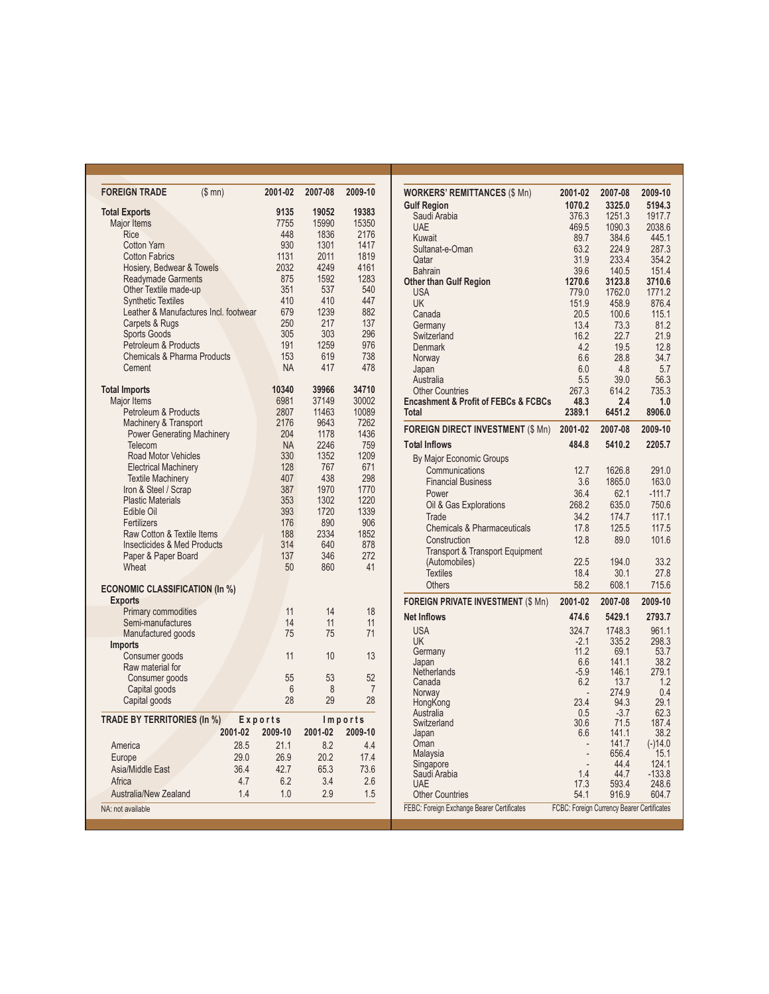| <b>FOREIGN TRADE</b>                               | (\$mn)  | 2001-02     | 2007-08      | 2009-10      |
|----------------------------------------------------|---------|-------------|--------------|--------------|
| <b>Total Exports</b>                               |         | 9135        | 19052        | 19383        |
| <b>Major Items</b>                                 |         | 7755        | 15990        | 15350        |
| Rice                                               |         | 448         | 1836         | 2176         |
| <b>Cotton Yarn</b>                                 |         | 930         | 1301         | 1417         |
| <b>Cotton Fabrics</b>                              |         | 1131        | 2011         | 1819         |
| Hosiery, Bedwear & Towels                          |         | 2032<br>875 | 4249<br>1592 | 4161<br>1283 |
| <b>Readymade Garments</b><br>Other Textile made-up |         | 351         | 537          | 540          |
| <b>Synthetic Textiles</b>                          |         | 410         | 410          | 447          |
| Leather & Manufactures Incl. footwear              |         | 679         | 1239         | 882          |
| Carpets & Rugs                                     |         | 250         | 217          | 137          |
| <b>Sports Goods</b>                                |         | 305         | 303          | 296          |
| Petroleum & Products                               |         | 191         | 1259         | 976          |
| <b>Chemicals &amp; Pharma Products</b>             |         | 153         | 619          | 738          |
| Cement                                             |         | <b>NA</b>   | 417          | 478          |
| <b>Total Imports</b>                               |         | 10340       | 39966        | 34710        |
| <b>Major Items</b>                                 |         | 6981        | 37149        | 30002        |
| Petroleum & Products                               |         | 2807        | 11463        | 10089        |
| Machinery & Transport                              |         | 2176        | 9643         | 7262         |
| <b>Power Generating Machinery</b>                  |         | 204         | 1178         | 1436         |
| Telecom                                            |         | <b>NA</b>   | 2246         | 759          |
| <b>Road Motor Vehicles</b>                         |         | 330         | 1352         | 1209         |
| <b>Electrical Machinery</b>                        |         | 128         | 767          | 671          |
| <b>Textile Machinery</b>                           |         | 407         | 438          | 298          |
| Iron & Steel / Scrap                               |         | 387         | 1970         | 1770         |
| <b>Plastic Materials</b>                           |         | 353         | 1302         | 1220         |
| Edible Oil                                         |         | 393         | 1720         | 1339         |
| Fertilizers                                        |         | 176         | 890          | 906          |
| Raw Cotton & Textile Items                         |         | 188         | 2334         | 1852         |
| <b>Insecticides &amp; Med Products</b>             |         | 314         | 640          | 878          |
| Paper & Paper Board                                |         | 137         | 346          | 272          |
| Wheat                                              |         | 50          | 860          | 41           |
| <b>ECONOMIC CLASSIFICATION (In %)</b>              |         |             |              |              |
| <b>Exports</b>                                     |         |             |              |              |
| <b>Primary commodities</b>                         |         | 11          | 14           | 18           |
| Semi-manufactures                                  |         | 14          | 11           | 11           |
| Manufactured goods<br><b>Imports</b>               |         | 75          | 75           | 71           |
| Consumer goods                                     |         | 11          | 10           | 13           |
| Raw material for                                   |         |             |              |              |
| Consumer goods                                     |         | 55          | 53           | 52           |
| Capital goods                                      |         | 6           | 8            | 7            |
| Capital goods                                      |         | 28          | 29           | 28           |
| TRADE BY TERRITORIES (In %)                        |         | Exports     |              | Imports      |
|                                                    | 2001-02 | 2009-10     | 2001-02      | 2009-10      |
| America                                            | 28.5    | 21.1        | 8.2          | 4.4          |
| Europe                                             | 29.0    | 26.9        | 20.2         | 17.4         |
| Asia/Middle East                                   | 36.4    | 42.7        | 65.3         | 73.6         |
| Africa                                             | 4.7     | 6.2         | 3.4          | 2.6          |
| Australia/New Zealand                              | 1.4     | 1.0         | 2.9          | 1.5          |
| NA: not available                                  |         |             |              |              |

| <b>WORKERS' REMITTANCES (\$ Mn)</b>                 | 2001-02                                    | 2007-08        | 2009-10       |
|-----------------------------------------------------|--------------------------------------------|----------------|---------------|
| <b>Gulf Region</b>                                  | 1070.2                                     | 3325.0         | 5194.3        |
| Saudi Arabia                                        | 376.3                                      | 1251.3         | 1917.7        |
| <b>UAE</b>                                          | 469.5                                      | 1090.3         | 2038.6        |
| Kuwait                                              | 89.7                                       | 384.6          | 445.1         |
| Sultanat-e-Oman                                     | 63.2                                       | 224.9          | 287.3         |
| Qatar                                               | 31.9                                       | 233.4          | 354.2         |
| <b>Bahrain</b>                                      | 39.6                                       | 140.5          | 151.4         |
| <b>Other than Gulf Region</b>                       | 1270.6                                     | 3123.8         | 3710.6        |
| <b>USA</b>                                          | 779.0                                      | 1762.0         | 1771.2        |
| <b>UK</b>                                           | 151.9                                      | 458.9          | 876.4         |
| Canada                                              | 20.5                                       | 100.6          | 115.1         |
| Germany                                             | 13.4                                       | 73.3           | 81.2          |
| Switzerland                                         | 16.2                                       | 22.7           | 21.9          |
| <b>Denmark</b>                                      | 4.2                                        | 19.5           | 12.8          |
| Norway                                              | 6.6                                        | 28.8           | 34.7          |
| Japan                                               | 6.0                                        | 4.8            | 5.7           |
| Australia                                           | 5.5                                        | 39.0           | 56.3          |
| <b>Other Countries</b>                              | 267.3                                      | 614.2          | 735.3         |
| <b>Encashment &amp; Profit of FEBCs &amp; FCBCs</b> | 48.3                                       | 2.4            | 1.0           |
| <b>Total</b>                                        | 2389.1                                     | 6451.2         | 8906.0        |
| <b>FOREIGN DIRECT INVESTMENT (\$ Mn)</b>            | 2001-02                                    | 2007-08        | 2009-10       |
| <b>Total Inflows</b>                                | 484.8                                      | 5410.2         | 2205.7        |
| By Major Economic Groups                            |                                            |                |               |
| Communications                                      | 12.7                                       | 1626.8         | 291.0         |
| <b>Financial Business</b>                           | 3.6                                        | 1865.0         | 163.0         |
| Power                                               | 36.4                                       | 62.1           | $-111.7$      |
| Oil & Gas Explorations                              | 268.2                                      | 635.0          | 750.6         |
| <b>Trade</b>                                        | 34.2                                       | 174.7          | 117.1         |
| <b>Chemicals &amp; Pharmaceuticals</b>              | 17.8                                       | 125.5          | 117.5         |
| Construction                                        | 12.8                                       | 89.0           | 101.6         |
| <b>Transport &amp; Transport Equipment</b>          |                                            |                |               |
| (Automobiles)                                       | 22.5                                       | 194.0          | 33.2          |
| <b>Textiles</b>                                     | 18.4                                       | 30.1           | 27.8          |
| <b>Others</b>                                       | 58.2                                       | 608.1          | 715.6         |
| <b>FOREIGN PRIVATE INVESTMENT (\$ Mn)</b>           | 2001-02                                    | 2007-08        | 2009-10       |
| <b>Net Inflows</b>                                  | 474.6                                      | 5429.1         | 2793.7        |
| <b>USA</b>                                          | 324.7                                      | 1748.3         | 961.1         |
| <b>UK</b>                                           | $-2.1$                                     | 335.2          | 298.3         |
| Germany                                             | 11.2                                       | 69.1           | 53.7          |
| Japan                                               | 6.6                                        | 141.1          | 38.2          |
| Netherlands                                         | $-5.9$                                     | 146.1          | 279.1         |
| Canada                                              | 6.2                                        | 13.7           | 1.2           |
| Norway                                              |                                            | 274.9          | 0.4           |
| HongKong                                            | 23.4                                       | 94.3           | 29.1          |
| Australia<br>Switzerland                            | 0.5<br>30.6                                | $-3.7$<br>71.5 | 62.3<br>187.4 |
| Japan                                               | 6.6                                        | 141.1          | 38.2          |
| Oman                                                |                                            | 141.7          | $(-)14.0$     |
| Malaysia                                            |                                            | 656.4          | 15.1          |
| Singapore                                           | ٠                                          | 44.4           | 124.1         |
| Saudi Arabia                                        | 1.4                                        | 44.7           | $-133.8$      |
| <b>UAE</b>                                          | 17.3                                       | 593.4          | 248.6         |
| <b>Other Countries</b>                              | 54.1                                       | 916.9          | 604.7         |
| FEBC: Foreign Exchange Bearer Certificates          | FCBC: Foreign Currency Bearer Certificates |                |               |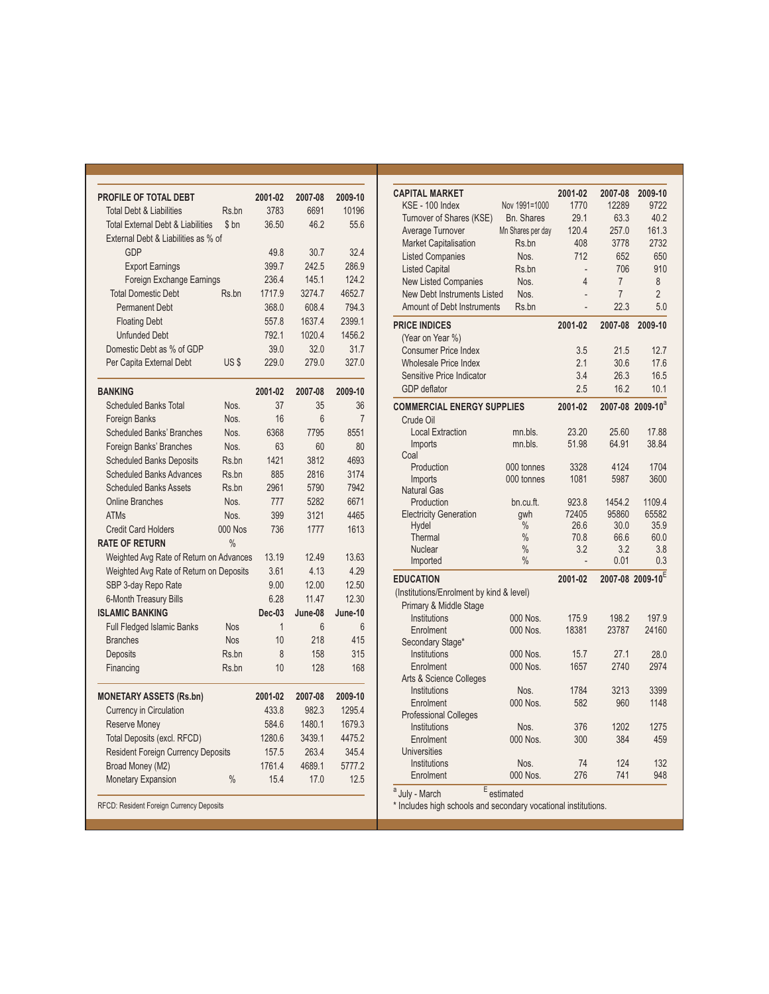| PROFILE OF TOTAL DEBT                        |                | 2001-02  | 2007-08        | 2009-10         |
|----------------------------------------------|----------------|----------|----------------|-----------------|
| <b>Total Debt &amp; Liabilities</b>          | Rs.bn          | 3783     | 6691           | 10196           |
| <b>Total External Debt &amp; Liabilities</b> | \$bn           | 36.50    | 46.2           | 55.6            |
| External Debt & Liabilities as % of          |                |          |                |                 |
| GDP                                          |                | 49.8     | 30.7           | 32.4            |
| <b>Export Earnings</b>                       |                | 399.7    | 242.5          | 286.9           |
| Foreign Exchange Earnings                    |                | 236.4    | 145.1          | 124.2           |
| <b>Total Domestic Debt</b>                   | Rs.bn          | 1717.9   | 3274.7         | 4652.7          |
| <b>Permanent Debt</b>                        |                | 368.0    | 608.4          | 794.3           |
| <b>Floating Debt</b>                         |                | 557.8    | 1637.4         | 2399.1          |
| <b>Unfunded Debt</b>                         |                | 792.1    | 1020.4         | 1456.2          |
| Domestic Debt as % of GDP                    |                | 39.0     | 32.0           | 31.7            |
| Per Capita External Debt                     | US\$           | 229.0    | 279.0          | 327.0           |
| <b>BANKING</b>                               |                | 2001-02  | 2007-08        | 2009-10         |
| <b>Scheduled Banks Total</b>                 | Nos.           | 37       | 35             | 36              |
| <b>Foreign Banks</b>                         | Nos.           | 16       | $6\phantom{1}$ | $\overline{7}$  |
| <b>Scheduled Banks' Branches</b>             | Nos.           | 6368     | 7795           | 8551            |
| Foreign Banks' Branches                      | Nos.           | 63       | 60             | 80              |
| <b>Scheduled Banks Deposits</b>              | Rs.bn          | 1421     | 3812           | 4693            |
| <b>Scheduled Banks Advances</b>              | Rs.bn          | 885      | 2816           | 3174            |
| <b>Scheduled Banks Assets</b>                | Rs.bn          | 2961     | 5790           | 7942            |
| <b>Online Branches</b>                       | Nos.           | 777      | 5282           | 6671            |
| <b>ATMs</b>                                  | Nos.           | 399      | 3121           | 4465            |
| <b>Credit Card Holders</b>                   | <b>000 Nos</b> | 736      | 1777           | 1613            |
| <b>RATE OF RETURN</b>                        | $\frac{0}{0}$  |          |                |                 |
| Weighted Avg Rate of Return on Advances      |                | 13.19    | 12.49          | 13.63           |
| Weighted Avg Rate of Return on Deposits      |                | 3.61     | 4.13           | 4.29            |
| SBP 3-day Repo Rate                          |                | 9.00     | 12.00          | 12.50           |
| 6-Month Treasury Bills                       |                | 6.28     | 11.47          | 12.30           |
| <b>ISLAMIC BANKING</b>                       |                | $Dec-03$ | June-08        | June-10         |
| <b>Full Fledged Islamic Banks</b>            | <b>Nos</b>     | 1        | 6              | $6\overline{6}$ |
| <b>Branches</b>                              | <b>Nos</b>     | 10       | 218            | 415             |
| Deposits                                     | Rs.bn          | 8        | 158            | 315             |
| Financing                                    | Rs.bn          | 10       | 128            | 168             |
| <b>MONETARY ASSETS (Rs.bn)</b>               |                | 2001-02  | 2007-08        | 2009-10         |
| <b>Currency in Circulation</b>               |                | 433.8    | 982.3          | 1295.4          |
| <b>Reserve Money</b>                         |                | 584.6    | 1480.1         | 1679.3          |
| Total Deposits (excl. RFCD)                  |                | 1280.6   | 3439.1         | 4475.2          |
| <b>Resident Foreign Currency Deposits</b>    |                | 157.5    | 263.4          | 345.4           |
| Broad Money (M2)                             |                | 1761.4   | 4689.1         | 5777.2          |
| <b>Monetary Expansion</b>                    | $\frac{0}{0}$  | 15.4     | 17.0           | 12.5            |

| <b>CAPITAL MARKET</b>                    |                   | 2001-02        | 2007-08        | 2009-10                      |
|------------------------------------------|-------------------|----------------|----------------|------------------------------|
| KSE - 100 Index                          | Nov 1991=1000     | 1770           | 12289          | 9722                         |
| Turnover of Shares (KSE)                 | <b>Bn.</b> Shares | 29.1           | 63.3           | 40.2                         |
| Average Turnover                         | Mn Shares per day | 120.4          | 257.0          | 161.3                        |
| <b>Market Capitalisation</b>             | Rs.bn             | 408            | 3778           | 2732                         |
| <b>Listed Companies</b>                  | Nos.              | 712            | 652            | 650                          |
| <b>Listed Capital</b>                    | Rs.bn             |                | 706            | 910                          |
| <b>New Listed Companies</b>              | Nos.              | 4              | $\overline{7}$ | 8                            |
| <b>New Debt Instruments Listed</b>       | Nos.              | $\overline{a}$ | $\overline{7}$ | $\overline{2}$               |
| <b>Amount of Debt Instruments</b>        | Rs.bn             | $\overline{a}$ | 22.3           | 5.0                          |
| <b>PRICE INDICES</b>                     |                   | 2001-02        | 2007-08        | 2009-10                      |
| (Year on Year %)                         |                   |                |                |                              |
| <b>Consumer Price Index</b>              |                   | 3.5            | 21.5           | 12.7                         |
| Wholesale Price Index                    |                   | 2.1            | 30.6           | 17.6                         |
| Sensitive Price Indicator                |                   | 3.4            | 26.3           | 16.5                         |
| <b>GDP</b> deflator                      |                   | 2.5            | 16.2           | 10.1                         |
|                                          |                   |                |                |                              |
| <b>COMMERCIAL ENERGY SUPPLIES</b>        |                   | 2001-02        |                | 2007-08 2009-10 <sup>a</sup> |
| Crude Oil<br><b>Local Extraction</b>     | mn.bls.           | 23.20          | 25.60          | 17.88                        |
| Imports                                  | mn.bls.           | 51.98          | 64.91          | 38.84                        |
| Coal                                     |                   |                |                |                              |
| Production                               | 000 tonnes        | 3328           | 4124           | 1704                         |
| Imports                                  | 000 tonnes        | 1081           | 5987           | 3600                         |
| <b>Natural Gas</b>                       |                   |                |                |                              |
| Production                               | bn.cu.ft.         | 923.8          | 1454.2         | 1109.4                       |
| <b>Electricity Generation</b>            | qwh               | 72405          | 95860          | 65582                        |
| Hydel                                    | $\frac{0}{0}$     | 26.6           | 30.0           | 35.9                         |
| Thermal                                  | $\frac{0}{0}$     | 70.8           | 66.6           | 60.0                         |
| <b>Nuclear</b>                           | $\frac{0}{0}$     | 3.2            | 3.2            | 3.8                          |
| Imported                                 | $\frac{0}{0}$     |                | 0.01           | 0.3                          |
| <b>EDUCATION</b>                         |                   | 2001-02        |                | 2007-08 2009-10 <sup>E</sup> |
| (Institutions/Enrolment by kind & level) |                   |                |                |                              |
| Primary & Middle Stage                   |                   |                |                |                              |
| Institutions                             | $000$ Nos.        | 175.9          | 198.2          | 197.9                        |
| Enrolment                                | 000 Nos.          | 18381          | 23787          | 24160                        |
| Secondary Stage*                         |                   |                |                |                              |
| Institutions                             | 000 Nos.          | 15.7           | 27.1           | 28.0                         |
| Enrolment                                | 000 Nos.          | 1657           | 2740           | 2974                         |
| Arts & Science Colleges                  |                   |                |                |                              |
| Institutions                             | Nos.              | 1784           | 3213           | 3399                         |
| Enrolment                                | 000 Nos.          | 582            | 960            | 1148                         |
| <b>Professional Colleges</b>             |                   |                |                |                              |
| Institutions                             | Nos.              | 376            | 1202           | 1275                         |
| Enrolment                                | 000 Nos.          | 300            | 384            | 459                          |
| <b>Universities</b>                      |                   |                |                |                              |
| Institutions                             | Nos.              | 74             | 124            | 132                          |
| Enrolment                                | 000 Nos.          | 276            | 741            | 948                          |
| F<br>$2$ .                               |                   |                |                |                              |

 $^a$  July - March  $^E$  estimated<br>\* Includes high schools and secondary vocational institutions.

RFCD: Resident Foreign Currency Deposits